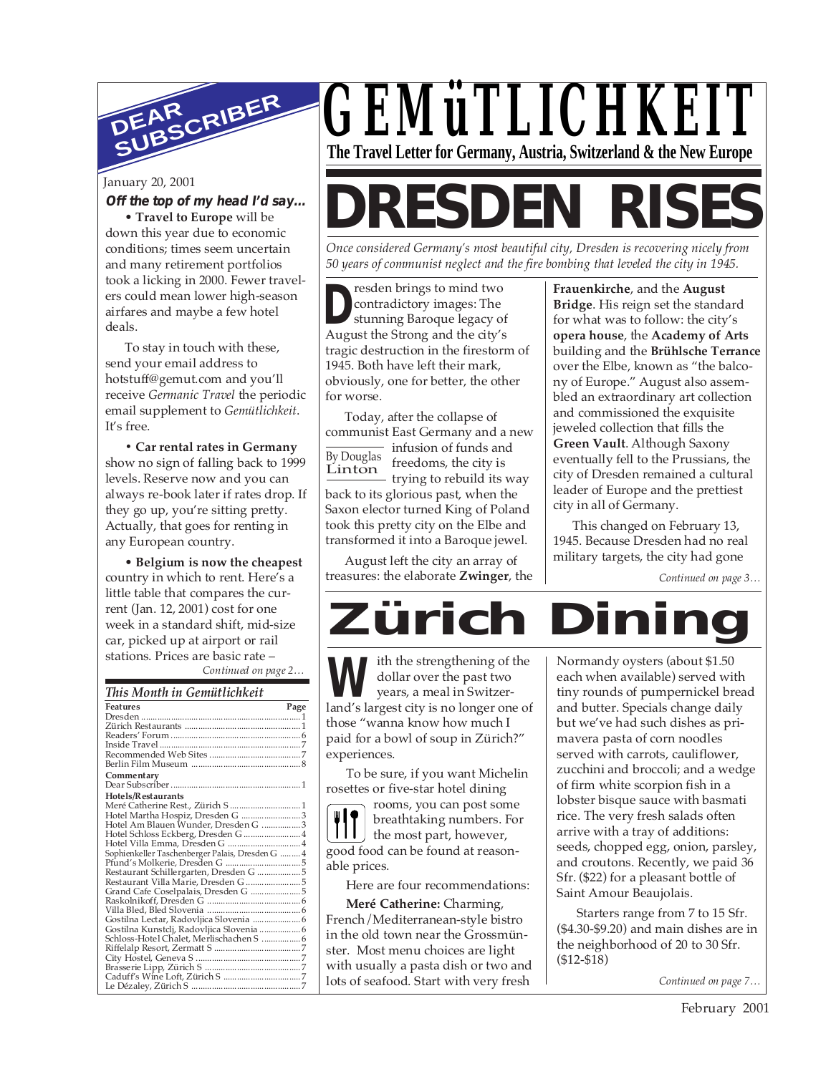

#### **Off the top of my head I'd say…**

• **Travel to Europe** will be down this year due to economic conditions; times seem uncertain and many retirement portfolios took a licking in 2000. Fewer travelers could mean lower high-season airfares and maybe a few hotel deals.

To stay in touch with these, send your email address to hotstuff@gemut.com and you'll receive *Germanic Travel* the periodic email supplement to *Gemütlichkeit*. It's free.

**• Car rental rates in Germany** show no sign of falling back to 1999 levels. Reserve now and you can always re-book later if rates drop. If they go up, you're sitting pretty. Actually, that goes for renting in any European country.

*Continued on page 2…* • **Belgium is now the cheapest** country in which to rent. Here's a little table that compares the current (Jan. 12, 2001) cost for one week in a standard shift, mid-size car, picked up at airport or rail

| This Month in Gemütlichkeit                      |      |
|--------------------------------------------------|------|
| <b>Features</b>                                  | Page |
|                                                  |      |
|                                                  |      |
|                                                  |      |
|                                                  |      |
|                                                  |      |
|                                                  |      |
| Commentary                                       |      |
|                                                  |      |
| Hotels/Restaurants                               |      |
| Meré Catherine Rest., Zürich S  1                |      |
| Hotel Martha Hospiz, Dresden G  3                |      |
| Hotel Am Blauen Wunder, Dresden G  3             |      |
| Hotel Schloss Eckberg, Dresden G  4              |      |
| Hotel Villa Emma, Dresden G  4                   |      |
| Sophienkeller Taschenberger Palais, Dresden G  4 |      |
|                                                  |      |
| Restaurant Schillergarten, Dresden G  5          |      |
| Restaurant Villa Marie, Dresden G  5             |      |
|                                                  |      |
|                                                  |      |
|                                                  |      |
| Gostilna Lectar, Radovljica Slovenia  6          |      |
| Gostilna Kunstclj, Radovljica Slovenia  6        |      |
| Schloss-Hotel Chalet, Merlischachen S  6         |      |
|                                                  |      |
|                                                  |      |
|                                                  |      |
|                                                  |      |
|                                                  |      |

# *GEMüTLICHKEIT* **The Travel Letter for Germany, Austria, Switzerland & the New Europe**

# January 20, 2001<br>Off the top of my head I'd say... **DRESDEN RISES**

*Once considered Germany's most beautiful city, Dresden is recovering nicely from 50 years of communist neglect and the fire bombing that leveled the city in 1945.*

**D**contradictory images: The
stunning Baroque legacy of
August the Strong and the city's resden brings to mind two contradictory images: The stunning Baroque legacy of tragic destruction in the firestorm of 1945. Both have left their mark, obviously, one for better, the other for worse.

Today, after the collapse of communist East Germany and a new

By Douglas Linton infusion of funds and freedoms, the city is trying to rebuild its way back to its glorious past, when the Saxon elector turned King of Poland took this pretty city on the Elbe and transformed it into a Baroque jewel.

August left the city an array of treasures: the elaborate **Zwinger**, the **Frauenkirche**, and the **August Bridge**. His reign set the standard for what was to follow: the city's **opera house**, the **Academy of Arts** building and the **Brühlsche Terrance** over the Elbe, known as "the balcony of Europe." August also assembled an extraordinary art collection and commissioned the exquisite jeweled collection that fills the **Green Vault**. Although Saxony eventually fell to the Prussians, the city of Dresden remained a cultural leader of Europe and the prettiest city in all of Germany.

This changed on February 13, 1945. Because Dresden had no real military targets, the city had gone

*Continued on page 3…*

**Zürich Dining** stations. Prices are basic rate –  $\left| \begin{array}{ccc} \bullet & \bullet & \bullet \\ \bullet & \bullet & \bullet \end{array} \right|$  ith the strengthening of the dollar over the past two years, a meal in Switzer-**W** dollar over the past two<br>
years, a meal in Switzerland's largest city is no longer one of those "wanna know how much I paid for a bowl of soup in Zürich?" experiences.

> To be sure, if you want Michelin rosettes or five-star hotel dining

rooms, you can post some breathtaking numbers. For the most part, however, good food can be found at reasonable prices.

Here are four recommendations:

**Meré Catherine:** Charming, French/Mediterranean-style bistro in the old town near the Grossmünster. Most menu choices are light with usually a pasta dish or two and lots of seafood. Start with very fresh

Normandy oysters (about \$1.50 each when available) served with tiny rounds of pumpernickel bread and butter. Specials change daily but we've had such dishes as primavera pasta of corn noodles served with carrots, cauliflower, zucchini and broccoli; and a wedge of firm white scorpion fish in a lobster bisque sauce with basmati rice. The very fresh salads often arrive with a tray of additions: seeds, chopped egg, onion, parsley, and croutons. Recently, we paid 36 Sfr. (\$22) for a pleasant bottle of Saint Amour Beaujolais.

Starters range from 7 to 15 Sfr. (\$4.30-\$9.20) and main dishes are in the neighborhood of 20 to 30 Sfr. (\$12-\$18)

*Continued on page 7…*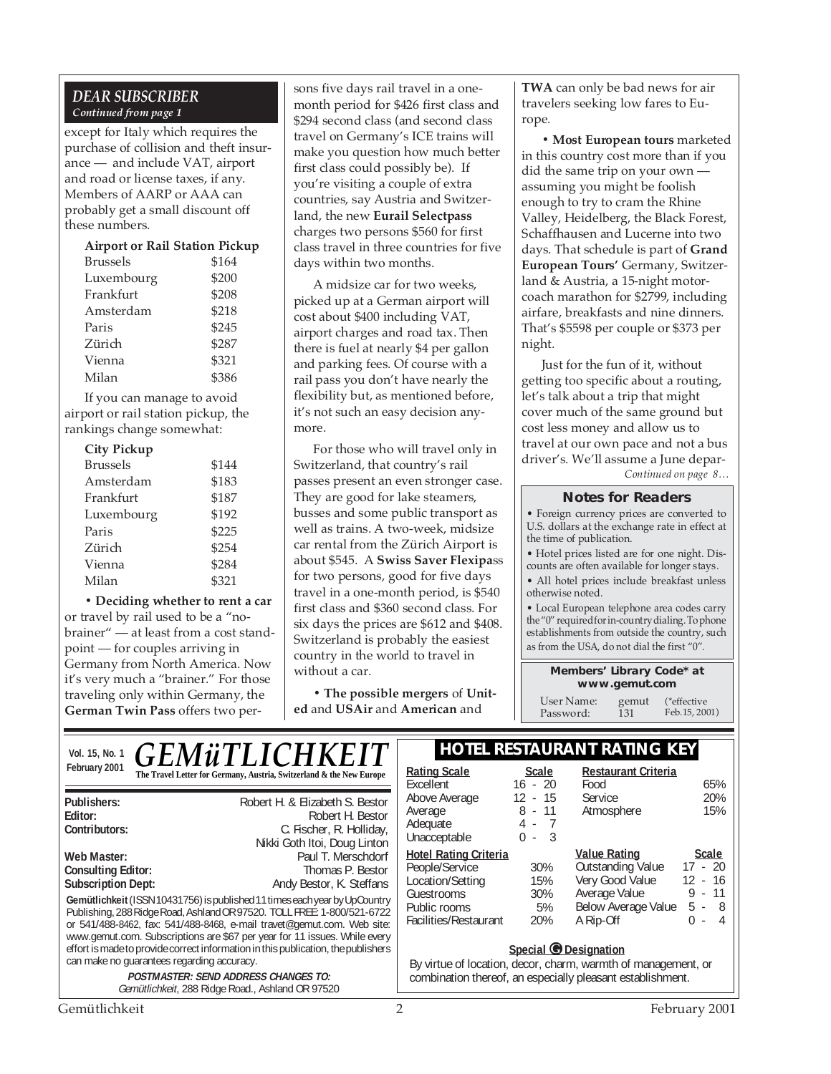### *DEAR SUBSCRIBER Continued from page 1*

except for Italy which requires the purchase of collision and theft insurance — and include VAT, airport and road or license taxes, if any. Members of AARP or AAA can probably get a small discount off these numbers.

| <b>Airport or Rail Station Pickup</b> |       |  |  |
|---------------------------------------|-------|--|--|
| <b>Brussels</b>                       | \$164 |  |  |
| Luxembourg                            | \$200 |  |  |
| Frankfurt                             | \$208 |  |  |
| Amsterdam                             | \$218 |  |  |
| Paris                                 | \$245 |  |  |
| Zürich                                | \$287 |  |  |
| Vienna                                | \$321 |  |  |
| Milan                                 | \$386 |  |  |

If you can manage to avoid airport or rail station pickup, the rankings change somewhat:

| <b>City Pickup</b> |       |
|--------------------|-------|
| Brussels           | \$144 |
| Amsterdam          | \$183 |
| Frankfurt          | \$187 |
| Luxembourg         | \$192 |
| Paris              | \$225 |
| Zürich             | \$254 |
| Vienna             | \$284 |
| Milan              | \$321 |
|                    |       |

**• Deciding whether to rent a car** or travel by rail used to be a "nobrainer" — at least from a cost standpoint — for couples arriving in Germany from North America. Now it's very much a "brainer." For those traveling only within Germany, the **German Twin Pass** offers two persons five days rail travel in a onemonth period for \$426 first class and \$294 second class (and second class travel on Germany's ICE trains will make you question how much better first class could possibly be). If you're visiting a couple of extra countries, say Austria and Switzerland, the new **Eurail Selectpass** charges two persons \$560 for first class travel in three countries for five days within two months.

A midsize car for two weeks, picked up at a German airport will cost about \$400 including VAT, airport charges and road tax. Then there is fuel at nearly \$4 per gallon and parking fees. Of course with a rail pass you don't have nearly the flexibility but, as mentioned before, it's not such an easy decision anymore.

For those who will travel only in Switzerland, that country's rail passes present an even stronger case. They are good for lake steamers, busses and some public transport as well as trains. A two-week, midsize car rental from the Zürich Airport is about \$545. A **Swiss Saver Flexipa**ss for two persons, good for five days travel in a one-month period, is \$540 first class and \$360 second class. For six days the prices are \$612 and \$408. Switzerland is probably the easiest country in the world to travel in without a car.

**• The possible mergers** of **United** and **USAir** and **American** and

**TWA** can only be bad news for air travelers seeking low fares to Europe.

**• Most European tours** marketed in this country cost more than if you did the same trip on your own assuming you might be foolish enough to try to cram the Rhine Valley, Heidelberg, the Black Forest, Schaffhausen and Lucerne into two days. That schedule is part of **Grand European Tours'** Germany, Switzerland & Austria, a 15-night motorcoach marathon for \$2799, including airfare, breakfasts and nine dinners. That's \$5598 per couple or \$373 per night.

Just for the fun of it, without getting too specific about a routing, let's talk about a trip that might cover much of the same ground but cost less money and allow us to travel at our own pace and not a bus driver's. We'll assume a June depar-

*Continued on page 8…*

#### **Notes for Readers**

• Foreign currency prices are converted to U.S. dollars at the exchange rate in effect at the time of publication.

• Hotel prices listed are for one night. Discounts are often available for longer stays.

• All hotel prices include breakfast unless otherwise noted.

• Local European telephone area codes carry the "0" required for in-country dialing. To phone establishments from outside the country, such as from the USA, do not dial the first "0".

> **Members' Library Code\* at www.gemut.com**

User Name: gemut<br>Password: 131 Password<sup>.</sup> (\*effective Feb.15, 2001)

|               | $\frac{V_{\text{QGL 15, No. 1}}}{2001}$ $\overline{GEM\ddot{u}TLLICHKEIT}$ | <b>HOTEL RESTAURANT RATING KEY</b> |       |                     |
|---------------|----------------------------------------------------------------------------|------------------------------------|-------|---------------------|
| February 2001 | The Travel Letter for Germany, Austria, Switzerland & the New Europe       | Rating Scale                       | Scale | Restaurant Criteria |
|               |                                                                            | -xcellent                          |       | -ood                |
|               |                                                                            |                                    |       |                     |

| Publishers:<br>Editor:                                                                                                                                                                                                                                                                                                                                                                                                                          | Robert H. & Elizabeth S. Bestor<br>Robert H. Bestor |
|-------------------------------------------------------------------------------------------------------------------------------------------------------------------------------------------------------------------------------------------------------------------------------------------------------------------------------------------------------------------------------------------------------------------------------------------------|-----------------------------------------------------|
| Contributors:                                                                                                                                                                                                                                                                                                                                                                                                                                   | C. Fischer, R. Holliday,                            |
|                                                                                                                                                                                                                                                                                                                                                                                                                                                 | Nikki Goth Itoi, Doug Linton                        |
| Web Master:                                                                                                                                                                                                                                                                                                                                                                                                                                     | Paul T. Merschdorf                                  |
| Consulting Editor:                                                                                                                                                                                                                                                                                                                                                                                                                              | Thomas P. Bestor                                    |
| <b>Subscription Dept:</b>                                                                                                                                                                                                                                                                                                                                                                                                                       | Andy Bestor, K. Steffans                            |
| Gemütlichkeit (ISSN 10431756) is published 11 times each year by UpCountry<br>Publishing, 288 Ridge Road, Ashland OR 97520. TOLL FREE: 1-800/521-6722<br>or 541/488-8462, fax: 541/488-8468, e-mail travet@gemut.com. Web site:<br>www.gemut.com. Subscriptions are \$67 per year for 11 issues. While every<br>effort is made to provide correct information in this publication, the publishers<br>can make no quarantees regarding accuracy. |                                                     |

**POSTMASTER: SEND ADDRESS CHANGES TO:** Gemütlichkeit, 288 Ridge Road., Ashland OR 97520

| <b>Rating Scale</b><br>Excellent<br>Above Average<br>Average<br>Adequate<br>Unacceptable                                  | <b>Scale</b><br>$16 - 20$<br>$12 - 15$<br>$8 - 11$<br>4 - 7<br>$\overline{\mathbf{3}}$<br>$\Omega$<br>$\sim$ | <b>Restaurant Criteria</b><br>Food<br>Service<br>Atmosphere                                                      | 65%<br>20%<br>15%                                                          |
|---------------------------------------------------------------------------------------------------------------------------|--------------------------------------------------------------------------------------------------------------|------------------------------------------------------------------------------------------------------------------|----------------------------------------------------------------------------|
| <b>Hotel Rating Criteria</b><br>People/Service<br>Location/Setting<br>Guestrooms<br>Public rooms<br>Facilities/Restaurant | 30%<br>15%<br>30%<br>5%<br>20%                                                                               | <b>Value Rating</b><br>Outstanding Value<br>Very Good Value<br>Average Value<br>Below Average Value<br>A Rip-Off | <b>Scale</b><br>$17 - 20$<br>$12 - 16$<br>$9 - 11$<br>5 -<br>8<br>ი -<br>4 |

#### **Special © Designation**

By virtue of location, decor, charm, warmth of management, or combination thereof, an especially pleasant establishment.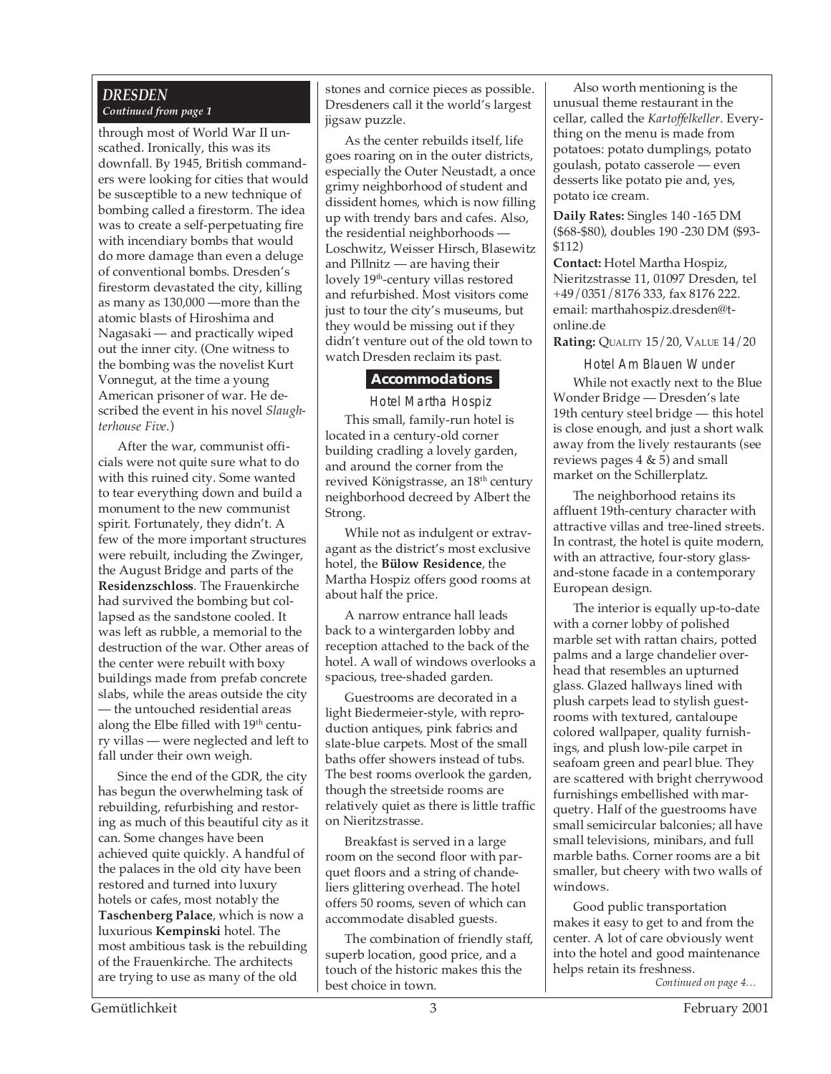### *DRESDEN Continued from page 1*

through most of World War II unscathed. Ironically, this was its downfall. By 1945, British commanders were looking for cities that would be susceptible to a new technique of bombing called a firestorm. The idea was to create a self-perpetuating fire with incendiary bombs that would do more damage than even a deluge of conventional bombs. Dresden's firestorm devastated the city, killing as many as 130,000 —more than the atomic blasts of Hiroshima and Nagasaki — and practically wiped out the inner city. (One witness to the bombing was the novelist Kurt Vonnegut, at the time a young American prisoner of war. He described the event in his novel *Slaughterhouse Five*.)

After the war, communist officials were not quite sure what to do with this ruined city. Some wanted to tear everything down and build a monument to the new communist spirit. Fortunately, they didn't. A few of the more important structures were rebuilt, including the Zwinger, the August Bridge and parts of the **Residenzschloss**. The Frauenkirche had survived the bombing but collapsed as the sandstone cooled. It was left as rubble, a memorial to the destruction of the war. Other areas of the center were rebuilt with boxy buildings made from prefab concrete slabs, while the areas outside the city — the untouched residential areas along the Elbe filled with 19<sup>th</sup> century villas — were neglected and left to fall under their own weigh.

Since the end of the GDR, the city has begun the overwhelming task of rebuilding, refurbishing and restoring as much of this beautiful city as it can. Some changes have been achieved quite quickly. A handful of the palaces in the old city have been restored and turned into luxury hotels or cafes, most notably the **Taschenberg Palace**, which is now a luxurious **Kempinski** hotel. The most ambitious task is the rebuilding of the Frauenkirche. The architects are trying to use as many of the old

stones and cornice pieces as possible. Dresdeners call it the world's largest jigsaw puzzle.

As the center rebuilds itself, life goes roaring on in the outer districts, especially the Outer Neustadt, a once grimy neighborhood of student and dissident homes, which is now filling up with trendy bars and cafes. Also, the residential neighborhoods — Loschwitz, Weisser Hirsch, Blasewitz and Pillnitz — are having their lovely 19<sup>th</sup>-century villas restored and refurbished. Most visitors come just to tour the city's museums, but they would be missing out if they didn't venture out of the old town to watch Dresden reclaim its past.

#### **Accommodations**

Hotel Martha Hospiz This small, family-run hotel is located in a century-old corner building cradling a lovely garden, and around the corner from the revived Königstrasse, an 18<sup>th</sup> century neighborhood decreed by Albert the Strong.

While not as indulgent or extravagant as the district's most exclusive hotel, the **Bülow Residence**, the Martha Hospiz offers good rooms at about half the price.

A narrow entrance hall leads back to a wintergarden lobby and reception attached to the back of the hotel. A wall of windows overlooks a spacious, tree-shaded garden.

Guestrooms are decorated in a light Biedermeier-style, with reproduction antiques, pink fabrics and slate-blue carpets. Most of the small baths offer showers instead of tubs. The best rooms overlook the garden, though the streetside rooms are relatively quiet as there is little traffic on Nieritzstrasse.

Breakfast is served in a large room on the second floor with parquet floors and a string of chandeliers glittering overhead. The hotel offers 50 rooms, seven of which can accommodate disabled guests.

The combination of friendly staff, superb location, good price, and a touch of the historic makes this the best choice in town.

Also worth mentioning is the unusual theme restaurant in the cellar, called the *Kartoffelkeller*. Everything on the menu is made from potatoes: potato dumplings, potato goulash, potato casserole — even desserts like potato pie and, yes, potato ice cream.

**Daily Rates:** Singles 140 -165 DM (\$68-\$80), doubles 190 -230 DM (\$93- \$112)

**Contact:** Hotel Martha Hospiz, Nieritzstrasse 11, 01097 Dresden, tel +49/0351/8176 333, fax 8176 222. email: marthahospiz.dresden@tonline.de

**Rating:** QUALITY 15/20, VALUE 14/20

Hotel Am Blauen Wunder While not exactly next to the Blue Wonder Bridge — Dresden's late 19th century steel bridge — this hotel is close enough, and just a short walk away from the lively restaurants (see reviews pages  $4 \& 5$ ) and small market on the Schillerplatz.

The neighborhood retains its affluent 19th-century character with attractive villas and tree-lined streets. In contrast, the hotel is quite modern, with an attractive, four-story glassand-stone facade in a contemporary European design.

The interior is equally up-to-date with a corner lobby of polished marble set with rattan chairs, potted palms and a large chandelier overhead that resembles an upturned glass. Glazed hallways lined with plush carpets lead to stylish guestrooms with textured, cantaloupe colored wallpaper, quality furnishings, and plush low-pile carpet in seafoam green and pearl blue. They are scattered with bright cherrywood furnishings embellished with marquetry. Half of the guestrooms have small semicircular balconies; all have small televisions, minibars, and full marble baths. Corner rooms are a bit smaller, but cheery with two walls of windows.

*Continued on page 4…* Good public transportation makes it easy to get to and from the center. A lot of care obviously went into the hotel and good maintenance helps retain its freshness.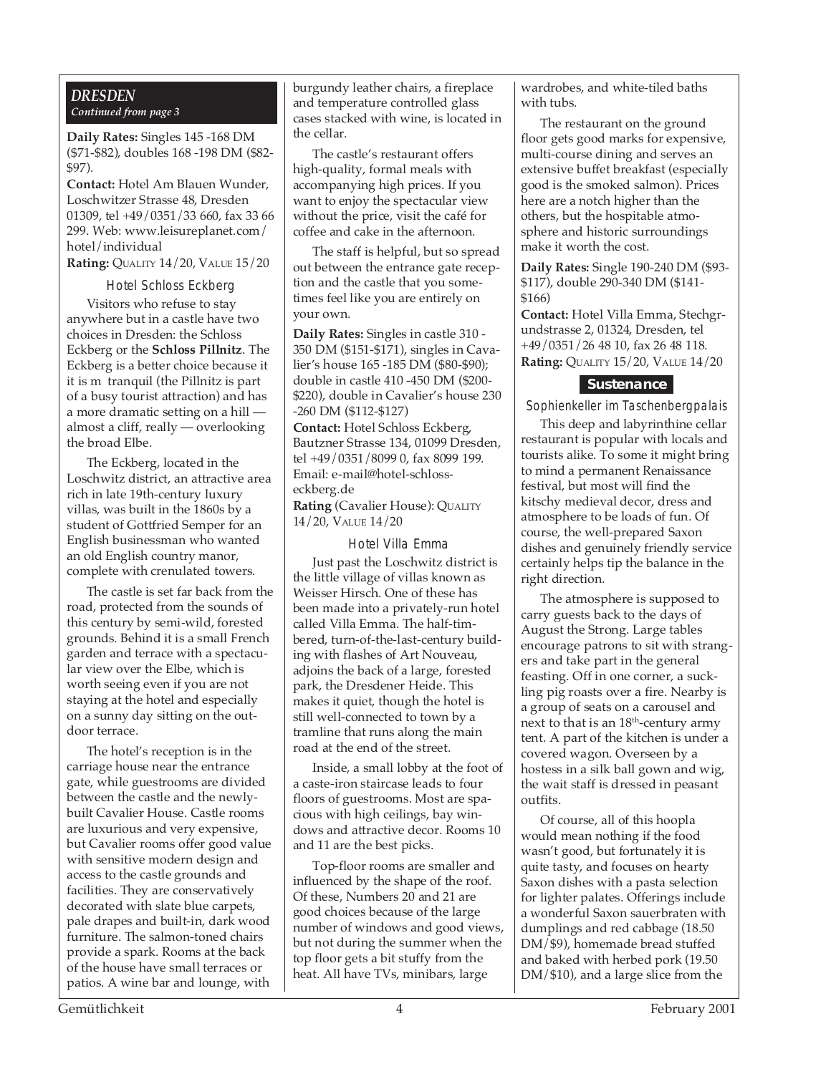#### *DRESDEN Continued from page 3*

**Daily Rates:** Singles 145 -168 DM (\$71-\$82), doubles 168 -198 DM (\$82- \$97).

**Contact:** Hotel Am Blauen Wunder, Loschwitzer Strasse 48, Dresden 01309, tel +49/0351/33 660, fax 33 66 299. Web: www.leisureplanet.com/ hotel/individual

**Rating:** QUALITY 14/20, VALUE 15/20

Hotel Schloss Eckberg

Visitors who refuse to stay anywhere but in a castle have two choices in Dresden: the Schloss Eckberg or the **Schloss Pillnitz**. The Eckberg is a better choice because it it is m tranquil (the Pillnitz is part of a busy tourist attraction) and has a more dramatic setting on a hill almost a cliff, really — overlooking the broad Elbe.

The Eckberg, located in the Loschwitz district, an attractive area rich in late 19th-century luxury villas, was built in the 1860s by a student of Gottfried Semper for an English businessman who wanted an old English country manor, complete with crenulated towers.

The castle is set far back from the road, protected from the sounds of this century by semi-wild, forested grounds. Behind it is a small French garden and terrace with a spectacular view over the Elbe, which is worth seeing even if you are not staying at the hotel and especially on a sunny day sitting on the outdoor terrace.

The hotel's reception is in the carriage house near the entrance gate, while guestrooms are divided between the castle and the newlybuilt Cavalier House. Castle rooms are luxurious and very expensive, but Cavalier rooms offer good value with sensitive modern design and access to the castle grounds and facilities. They are conservatively decorated with slate blue carpets, pale drapes and built-in, dark wood furniture. The salmon-toned chairs provide a spark. Rooms at the back of the house have small terraces or patios. A wine bar and lounge, with

burgundy leather chairs, a fireplace and temperature controlled glass cases stacked with wine, is located in the cellar.

The castle's restaurant offers high-quality, formal meals with accompanying high prices. If you want to enjoy the spectacular view without the price, visit the café for coffee and cake in the afternoon.

The staff is helpful, but so spread out between the entrance gate reception and the castle that you sometimes feel like you are entirely on your own.

**Daily Rates:** Singles in castle 310 - 350 DM (\$151-\$171), singles in Cavalier's house 165 -185 DM (\$80-\$90); double in castle 410 -450 DM (\$200- \$220), double in Cavalier's house 230 -260 DM (\$112-\$127) **Contact:** Hotel Schloss Eckberg, Bautzner Strasse 134, 01099 Dresden, tel +49/0351/8099 0, fax 8099 199. Email: e-mail@hotel-schlosseckberg.de **Rating** (Cavalier House): QUALITY

14/20, VALUE 14/20

Hotel Villa Emma Just past the Loschwitz district is the little village of villas known as Weisser Hirsch. One of these has been made into a privately-run hotel called Villa Emma. The half-timbered, turn-of-the-last-century building with flashes of Art Nouveau, adjoins the back of a large, forested park, the Dresdener Heide. This makes it quiet, though the hotel is still well-connected to town by a tramline that runs along the main road at the end of the street.

Inside, a small lobby at the foot of a caste-iron staircase leads to four floors of guestrooms. Most are spacious with high ceilings, bay windows and attractive decor. Rooms 10 and 11 are the best picks.

Top-floor rooms are smaller and influenced by the shape of the roof. Of these, Numbers 20 and 21 are good choices because of the large number of windows and good views, but not during the summer when the top floor gets a bit stuffy from the heat. All have TVs, minibars, large

wardrobes, and white-tiled baths with tubs.

The restaurant on the ground floor gets good marks for expensive, multi-course dining and serves an extensive buffet breakfast (especially good is the smoked salmon). Prices here are a notch higher than the others, but the hospitable atmosphere and historic surroundings make it worth the cost.

**Daily Rates:** Single 190-240 DM (\$93- \$117), double 290-340 DM (\$141- \$166)

**Contact:** Hotel Villa Emma, Stechgrundstrasse 2, 01324, Dresden, tel +49/0351/26 48 10, fax 26 48 118. **Rating:** QUALITY 15/20, VALUE 14/20

### **Sustenance**

Sophienkeller im Taschenbergpalais

This deep and labyrinthine cellar restaurant is popular with locals and tourists alike. To some it might bring to mind a permanent Renaissance festival, but most will find the kitschy medieval decor, dress and atmosphere to be loads of fun. Of course, the well-prepared Saxon dishes and genuinely friendly service certainly helps tip the balance in the right direction.

The atmosphere is supposed to carry guests back to the days of August the Strong. Large tables encourage patrons to sit with strangers and take part in the general feasting. Off in one corner, a suckling pig roasts over a fire. Nearby is a group of seats on a carousel and next to that is an  $18<sup>th</sup>$ -century army tent. A part of the kitchen is under a covered wagon. Overseen by a hostess in a silk ball gown and wig, the wait staff is dressed in peasant outfits.

Of course, all of this hoopla would mean nothing if the food wasn't good, but fortunately it is quite tasty, and focuses on hearty Saxon dishes with a pasta selection for lighter palates. Offerings include a wonderful Saxon sauerbraten with dumplings and red cabbage (18.50 DM/\$9), homemade bread stuffed and baked with herbed pork (19.50 DM/\$10), and a large slice from the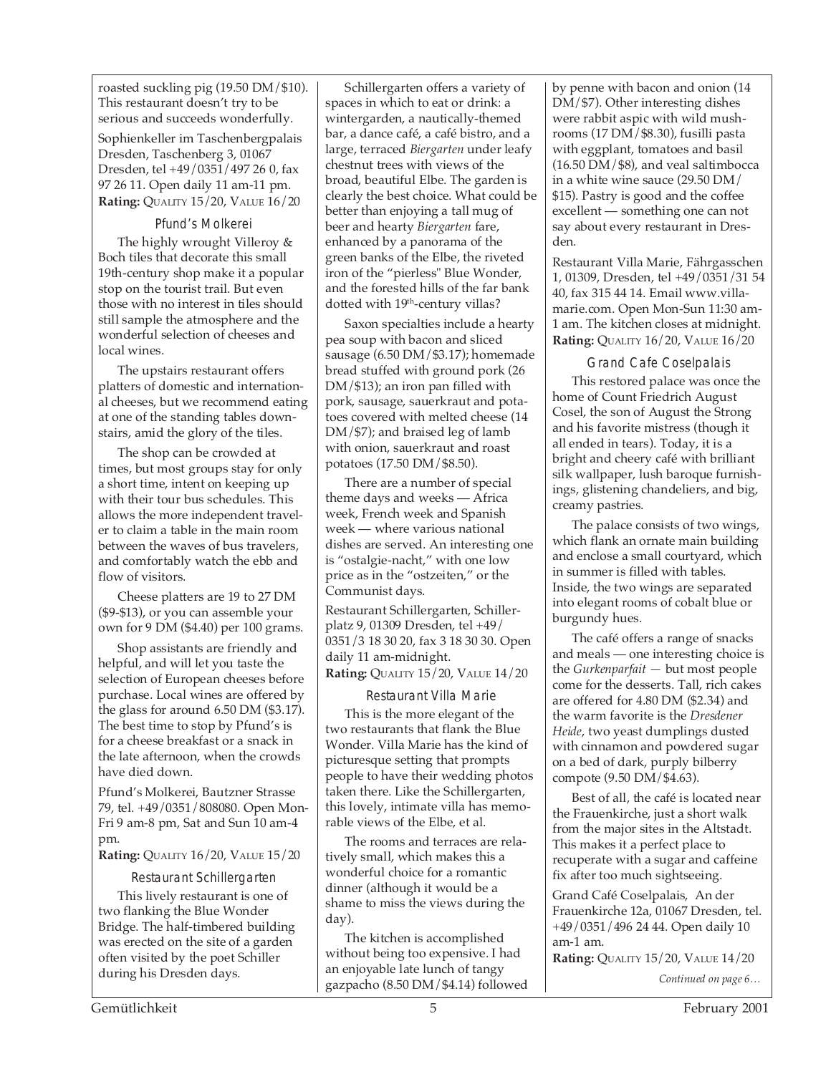roasted suckling pig (19.50 DM/\$10). This restaurant doesn't try to be serious and succeeds wonderfully.

Sophienkeller im Taschenbergpalais Dresden, Taschenberg 3, 01067 Dresden, tel +49/0351/497 26 0, fax 97 26 11. Open daily 11 am-11 pm. **Rating:** QUALITY 15/20, VALUE 16/20

Pfund's Molkerei The highly wrought Villeroy & Boch tiles that decorate this small 19th-century shop make it a popular stop on the tourist trail. But even those with no interest in tiles should still sample the atmosphere and the wonderful selection of cheeses and local wines.

The upstairs restaurant offers platters of domestic and international cheeses, but we recommend eating at one of the standing tables downstairs, amid the glory of the tiles.

The shop can be crowded at times, but most groups stay for only a short time, intent on keeping up with their tour bus schedules. This allows the more independent traveler to claim a table in the main room between the waves of bus travelers, and comfortably watch the ebb and flow of visitors.

Cheese platters are 19 to 27 DM (\$9-\$13), or you can assemble your own for 9 DM (\$4.40) per 100 grams.

Shop assistants are friendly and helpful, and will let you taste the selection of European cheeses before purchase. Local wines are offered by the glass for around 6.50 DM (\$3.17). The best time to stop by Pfund's is for a cheese breakfast or a snack in the late afternoon, when the crowds have died down.

Pfund's Molkerei, Bautzner Strasse 79, tel. +49/0351/808080. Open Mon-Fri 9 am-8 pm, Sat and Sun 10 am-4 pm.

**Rating:** QUALITY 16/20, VALUE 15/20

Restaurant Schillergarten This lively restaurant is one of two flanking the Blue Wonder Bridge. The half-timbered building was erected on the site of a garden often visited by the poet Schiller during his Dresden days.

Schillergarten offers a variety of spaces in which to eat or drink: a wintergarden, a nautically-themed bar, a dance café, a café bistro, and a large, terraced *Biergarten* under leafy chestnut trees with views of the broad, beautiful Elbe. The garden is clearly the best choice. What could be better than enjoying a tall mug of beer and hearty *Biergarten* fare, enhanced by a panorama of the green banks of the Elbe, the riveted iron of the "pierless" Blue Wonder, and the forested hills of the far bank dotted with 19<sup>th</sup>-century villas?

Saxon specialties include a hearty pea soup with bacon and sliced sausage (6.50 DM/\$3.17); homemade bread stuffed with ground pork (26 DM/\$13); an iron pan filled with pork, sausage, sauerkraut and potatoes covered with melted cheese (14 DM/\$7); and braised leg of lamb with onion, sauerkraut and roast potatoes (17.50 DM/\$8.50).

There are a number of special theme days and weeks — Africa week, French week and Spanish week — where various national dishes are served. An interesting one is "ostalgie-nacht," with one low price as in the "ostzeiten," or the Communist days.

Restaurant Schillergarten, Schillerplatz 9, 01309 Dresden, tel +49/ 0351/3 18 30 20, fax 3 18 30 30. Open daily 11 am-midnight. **Rating:** QUALITY 15/20, VALUE 14/20

Restaurant Villa Marie This is the more elegant of the two restaurants that flank the Blue Wonder. Villa Marie has the kind of picturesque setting that prompts people to have their wedding photos taken there. Like the Schillergarten, this lovely, intimate villa has memorable views of the Elbe, et al.

The rooms and terraces are relatively small, which makes this a wonderful choice for a romantic dinner (although it would be a shame to miss the views during the day).

The kitchen is accomplished without being too expensive. I had an enjoyable late lunch of tangy gazpacho (8.50 DM/\$4.14) followed by penne with bacon and onion (14 DM/\$7). Other interesting dishes were rabbit aspic with wild mushrooms (17 DM/\$8.30), fusilli pasta with eggplant, tomatoes and basil (16.50 DM/\$8), and veal saltimbocca in a white wine sauce (29.50 DM/ \$15). Pastry is good and the coffee excellent — something one can not say about every restaurant in Dresden.

Restaurant Villa Marie, Fährgasschen 1, 01309, Dresden, tel +49/0351/31 54 40, fax 315 44 14. Email www.villamarie.com. Open Mon-Sun 11:30 am-1 am. The kitchen closes at midnight. **Rating:** QUALITY 16/20, VALUE 16/20

Grand Cafe Coselpalais This restored palace was once the home of Count Friedrich August Cosel, the son of August the Strong and his favorite mistress (though it all ended in tears). Today, it is a bright and cheery café with brilliant silk wallpaper, lush baroque furnishings, glistening chandeliers, and big, creamy pastries.

The palace consists of two wings, which flank an ornate main building and enclose a small courtyard, which in summer is filled with tables. Inside, the two wings are separated into elegant rooms of cobalt blue or burgundy hues.

The café offers a range of snacks and meals — one interesting choice is the *Gurkenparfait —* but most people come for the desserts. Tall, rich cakes are offered for 4.80 DM (\$2.34) and the warm favorite is the *Dresdener Heide*, two yeast dumplings dusted with cinnamon and powdered sugar on a bed of dark, purply bilberry compote (9.50 DM/\$4.63).

Best of all, the café is located near the Frauenkirche, just a short walk from the major sites in the Altstadt. This makes it a perfect place to recuperate with a sugar and caffeine fix after too much sightseeing.

Grand Café Coselpalais, An der Frauenkirche 12a, 01067 Dresden, tel. +49/0351/496 24 44. Open daily 10 am-1 am.

**Rating:** QUALITY 15/20, VALUE 14/20

*Continued on page 6…*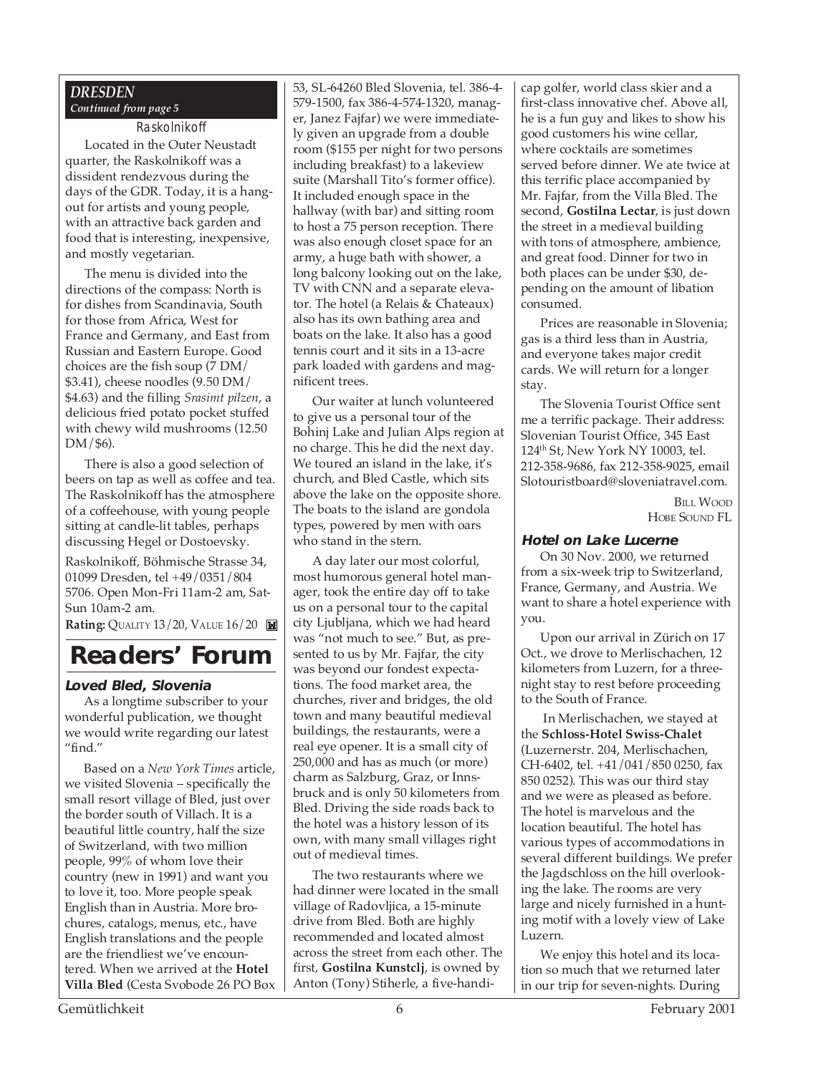### *DRESDEN Continued from page 5*

#### Raskolnikoff

Located in the Outer Neustadt quarter, the Raskolnikoff was a dissident rendezvous during the days of the GDR. Today, it is a hangout for artists and young people, with an attractive back garden and food that is interesting, inexpensive, and mostly vegetarian.

The menu is divided into the directions of the compass: North is for dishes from Scandinavia, South for those from Africa, West for France and Germany, and East from Russian and Eastern Europe. Good choices are the fish soup (7 DM/ \$3.41), cheese noodles (9.50 DM/ \$4.63) and the filling *Srasimt pilzen*, a delicious fried potato pocket stuffed with chewy wild mushrooms (12.50 DM/\$6).

There is also a good selection of beers on tap as well as coffee and tea. The Raskolnikoff has the atmosphere of a coffeehouse, with young people sitting at candle-lit tables, perhaps discussing Hegel or Dostoevsky.

Raskolnikoff, Böhmische Strasse 34, 01099 Dresden, tel +49/0351/804 5706. Open Mon-Fri 11am-2 am, Sat-Sun 10am-2 am.

**Rating: QUALITY 13/20, VALUE 16/20** 

## **Readers' Forum**

#### **Loved Bled, Slovenia**

As a longtime subscriber to your wonderful publication, we thought we would write regarding our latest "find."

Based on a *New York Times* article, we visited Slovenia – specifically the small resort village of Bled, just over the border south of Villach. It is a beautiful little country, half the size of Switzerland, with two million people, 99% of whom love their country (new in 1991) and want you to love it, too. More people speak English than in Austria. More brochures, catalogs, menus, etc., have English translations and the people are the friendliest we've encountered. When we arrived at the **Hotel Villa Bled** (Cesta Svobode 26 PO Box 53, SL-64260 Bled Slovenia, tel. 386-4- 579-1500, fax 386-4-574-1320, manager, Janez Fajfar) we were immediately given an upgrade from a double room (\$155 per night for two persons including breakfast) to a lakeview suite (Marshall Tito's former office). It included enough space in the hallway (with bar) and sitting room to host a 75 person reception. There was also enough closet space for an army, a huge bath with shower, a long balcony looking out on the lake, TV with CNN and a separate elevator. The hotel (a Relais & Chateaux) also has its own bathing area and boats on the lake. It also has a good tennis court and it sits in a 13-acre park loaded with gardens and magnificent trees.

Our waiter at lunch volunteered to give us a personal tour of the Bohinj Lake and Julian Alps region at no charge. This he did the next day. We toured an island in the lake, it's church, and Bled Castle, which sits above the lake on the opposite shore. The boats to the island are gondola types, powered by men with oars who stand in the stern.

A day later our most colorful, most humorous general hotel manager, took the entire day off to take us on a personal tour to the capital city Ljubljana, which we had heard was "not much to see." But, as presented to us by Mr. Fajfar, the city was beyond our fondest expectations. The food market area, the churches, river and bridges, the old town and many beautiful medieval buildings, the restaurants, were a real eye opener. It is a small city of 250,000 and has as much (or more) charm as Salzburg, Graz, or Innsbruck and is only 50 kilometers from Bled. Driving the side roads back to the hotel was a history lesson of its own, with many small villages right out of medieval times.

The two restaurants where we had dinner were located in the small village of Radovljica, a 15-minute drive from Bled. Both are highly recommended and located almost across the street from each other. The first, **Gostilna Kunstclj**, is owned by Anton (Tony) Stiherle, a five-handicap golfer, world class skier and a first-class innovative chef. Above all, he is a fun guy and likes to show his good customers his wine cellar, where cocktails are sometimes served before dinner. We ate twice at this terrific place accompanied by Mr. Fajfar, from the Villa Bled. The second, **Gostilna Lectar**, is just down the street in a medieval building with tons of atmosphere, ambience, and great food. Dinner for two in both places can be under \$30, depending on the amount of libation consumed.

Prices are reasonable in Slovenia; gas is a third less than in Austria, and everyone takes major credit cards. We will return for a longer stay.

The Slovenia Tourist Office sent me a terrific package. Their address: Slovenian Tourist Office, 345 East 124th St, New York NY 10003, tel. 212-358-9686, fax 212-358-9025, email Slotouristboard@sloveniatravel.com.

> BILL WOOD HOBE SOUND FL

#### **Hotel on Lake Lucerne**

On 30 Nov. 2000, we returned from a six-week trip to Switzerland, France, Germany, and Austria. We want to share a hotel experience with you.

Upon our arrival in Zürich on 17 Oct., we drove to Merlischachen, 12 kilometers from Luzern, for a threenight stay to rest before proceeding to the South of France.

 In Merlischachen, we stayed at the **Schloss-Hotel Swiss-Chalet** (Luzernerstr. 204, Merlischachen, CH-6402, tel. +41/041/850 0250, fax 850 0252). This was our third stay and we were as pleased as before. The hotel is marvelous and the location beautiful. The hotel has various types of accommodations in several different buildings. We prefer the Jagdschloss on the hill overlooking the lake. The rooms are very large and nicely furnished in a hunting motif with a lovely view of Lake Luzern.

We enjoy this hotel and its location so much that we returned later in our trip for seven-nights. During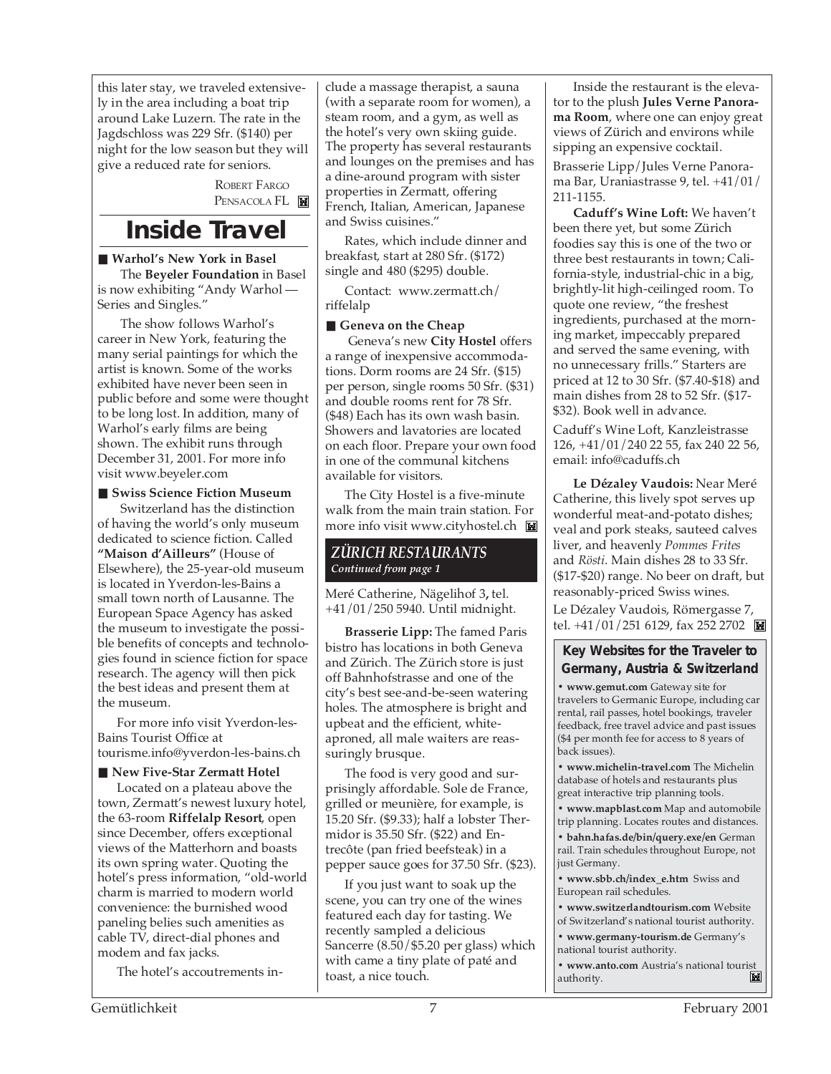this later stay, we traveled extensively in the area including a boat trip around Lake Luzern. The rate in the Jagdschloss was 229 Sfr. (\$140) per night for the low season but they will give a reduced rate for seniors.

> ROBERT FARGO PENSACOLA FL

## **Inside Travel**

### ■ Warhol's New York in Basel

 The **Beyeler Foundation** in Basel is now exhibiting "Andy Warhol — Series and Singles."

 The show follows Warhol's career in New York, featuring the many serial paintings for which the artist is known. Some of the works exhibited have never been seen in public before and some were thought to be long lost. In addition, many of Warhol's early films are being shown. The exhibit runs through December 31, 2001. For more info visit www.beyeler.com

#### ■ Swiss Science Fiction Museum

 Switzerland has the distinction of having the world's only museum dedicated to science fiction. Called **"Maison d'Ailleurs"** (House of Elsewhere), the 25-year-old museum is located in Yverdon-les-Bains a small town north of Lausanne. The European Space Agency has asked the museum to investigate the possible benefits of concepts and technologies found in science fiction for space research. The agency will then pick the best ideas and present them at the museum.

For more info visit Yverdon-les-Bains Tourist Office at tourisme.info@yverdon-les-bains.ch

#### ■ New Five-Star Zermatt Hotel

Located on a plateau above the town, Zermatt's newest luxury hotel, the 63-room **Riffelalp Resort**, open since December, offers exceptional views of the Matterhorn and boasts its own spring water. Quoting the hotel's press information, "old-world charm is married to modern world convenience: the burnished wood paneling belies such amenities as cable TV, direct-dial phones and modem and fax jacks.

The hotel's accoutrements in-

clude a massage therapist, a sauna (with a separate room for women), a steam room, and a gym, as well as the hotel's very own skiing guide. The property has several restaurants and lounges on the premises and has a dine-around program with sister properties in Zermatt, offering French, Italian, American, Japanese and Swiss cuisines."

Rates, which include dinner and breakfast, start at 280 Sfr. (\$172) single and 480 (\$295) double.

Contact: www.zermatt.ch/ riffelalp

### ■ Geneva on the Cheap

 Geneva's new **City Hostel** offers a range of inexpensive accommodations. Dorm rooms are 24 Sfr. (\$15) per person, single rooms 50 Sfr. (\$31) and double rooms rent for 78 Sfr. (\$48) Each has its own wash basin. Showers and lavatories are located on each floor. Prepare your own food in one of the communal kitchens available for visitors.

The City Hostel is a five-minute walk from the main train station. For more info visit www.cityhostel.ch

## *ZÜRICH RESTAURANTS Continued from page 1*

Meré Catherine, Nägelihof 3**,** tel. +41/01/250 5940. Until midnight.

**Brasserie Lipp:** The famed Paris bistro has locations in both Geneva and Zürich. The Zürich store is just off Bahnhofstrasse and one of the city's best see-and-be-seen watering holes. The atmosphere is bright and upbeat and the efficient, whiteaproned, all male waiters are reassuringly brusque.

The food is very good and surprisingly affordable. Sole de France, grilled or meunière, for example, is 15.20 Sfr. (\$9.33); half a lobster Thermidor is 35.50 Sfr. (\$22) and Entrecôte (pan fried beefsteak) in a pepper sauce goes for 37.50 Sfr. (\$23).

If you just want to soak up the scene, you can try one of the wines featured each day for tasting. We recently sampled a delicious Sancerre (8.50/\$5.20 per glass) which with came a tiny plate of paté and toast, a nice touch.

Inside the restaurant is the elevator to the plush **Jules Verne Panorama Room**, where one can enjoy great views of Zürich and environs while sipping an expensive cocktail.

Brasserie Lipp/Jules Verne Panorama Bar, Uraniastrasse 9, tel. +41/01/ 211-1155.

**Caduff's Wine Loft:** We haven't been there yet, but some Zürich foodies say this is one of the two or three best restaurants in town; California-style, industrial-chic in a big, brightly-lit high-ceilinged room. To quote one review, "the freshest ingredients, purchased at the morning market, impeccably prepared and served the same evening, with no unnecessary frills." Starters are priced at 12 to 30 Sfr. (\$7.40-\$18) and main dishes from 28 to 52 Sfr. (\$17- \$32). Book well in advance.

Caduff's Wine Loft, Kanzleistrasse 126, +41/01/240 22 55, fax 240 22 56, email: info@caduffs.ch

**Le Dézaley Vaudois:** Near Meré Catherine, this lively spot serves up wonderful meat-and-potato dishes; veal and pork steaks, sauteed calves liver, and heavenly *Pommes Frites* and *Rösti*. Main dishes 28 to 33 Sfr. (\$17-\$20) range. No beer on draft, but reasonably-priced Swiss wines.

Le Dézaley Vaudois, Römergasse 7, tel. +41/01/251 6129, fax 252 2702

### **Key Websites for the Traveler to Germany, Austria & Switzerland**

**• www.gemut.com** Gateway site for travelers to Germanic Europe, including car rental, rail passes, hotel bookings, traveler feedback, free travel advice and past issues (\$4 per month fee for access to 8 years of back issues).

**• www.michelin-travel.com** The Michelin database of hotels and restaurants plus great interactive trip planning tools.

**• www.mapblast.com** Map and automobile trip planning. Locates routes and distances.

**• bahn.hafas.de/bin/query.exe/en** German rail. Train schedules throughout Europe, not just Germany.

**• www.sbb.ch/index\_e.htm** Swiss and European rail schedules.

**• www.switzerlandtourism.com** Website of Switzerland's national tourist authority.

**• www.germany-tourism.de** Germany's national tourist authority.

**• www.anto.com** Austria's national tourist authority.